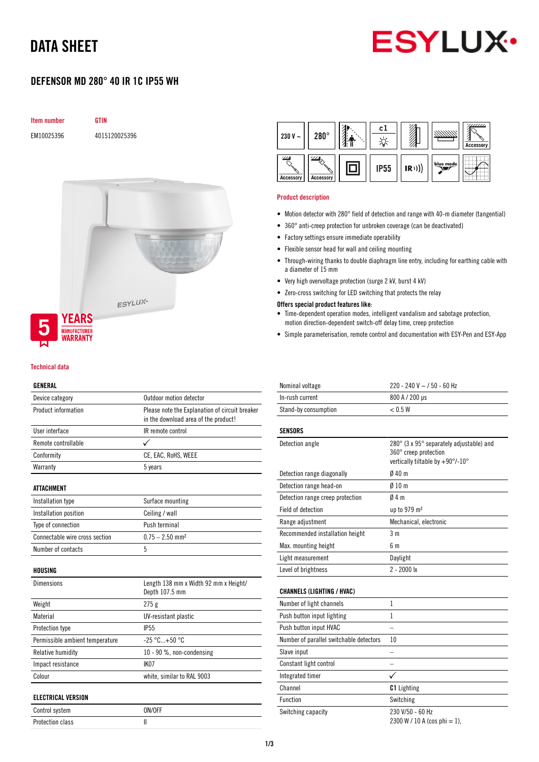# DATA SHEET



## DEFENSOR MD 280° 40 IR 1C IP55 WH



#### Technical data

#### GENERAL

| Device category                 | Outdoor motion detector                                                                |
|---------------------------------|----------------------------------------------------------------------------------------|
| Product information             | Please note the Explanation of circuit breaker<br>in the download area of the product! |
| User interface                  | IR remote control                                                                      |
| Remote controllable             | ✓                                                                                      |
| Conformity                      | CE, EAC, RoHS, WEEE                                                                    |
| Warranty                        | 5 years                                                                                |
| <b>ATTACHMENT</b>               |                                                                                        |
| Installation type               | Surface mounting                                                                       |
| Installation position           | Ceiling / wall                                                                         |
| Type of connection              | Push terminal                                                                          |
| Connectable wire cross section  | $0.75 - 2.50$ mm <sup>2</sup>                                                          |
| Number of contacts              | 5                                                                                      |
| HOUSING                         |                                                                                        |
| <b>Dimensions</b>               | Length 138 mm x Width 92 mm x Height/<br>Depth 107.5 mm                                |
| Weight                          | 275g                                                                                   |
| Material                        | UV-resistant plastic                                                                   |
| Protection type                 | <b>IP55</b>                                                                            |
| Permissible ambient temperature | $-25 °C+50 °C$                                                                         |
| Relative humidity               | 10 - 90 %, non-condensing                                                              |
| Impact resistance               | IK <sub>07</sub>                                                                       |
| Colour                          | white, similar to RAL 9003                                                             |
| <b>ELECTRICAL VERSION</b>       |                                                                                        |
| Control system                  | ON/OFF                                                                                 |

Protection class II



#### Product description

- Motion detector with 280° field of detection and range with 40-m diameter (tangential)
- 360° anti-creep protection for unbroken coverage (can be deactivated)
- Factory settings ensure immediate operability
- Flexible sensor head for wall and ceiling mounting
- Through-wiring thanks to double diaphragm line entry, including for earthing cable with a diameter of 15 mm
- Very high overvoltage protection (surge 2 kV, burst 4 kV)
- Zero-cross switching for LED switching that protects the relay

### Offers special product features like:

- Time-dependent operation modes, intelligent vandalism and sabotage protection, motion direction-dependent switch-off delay time, creep protection
- Simple parameterisation, remote control and documentation with ESY-Pen and ESY-App

| Nominal voltage                         | 220 - 240 V ~ / 50 - 60 Hz                                                                            |
|-----------------------------------------|-------------------------------------------------------------------------------------------------------|
| In-rush current                         | 800 A / 200 µs                                                                                        |
| Stand-by consumption                    | < 0.5 W                                                                                               |
| SENSORS                                 |                                                                                                       |
| Detection angle                         | 280° (3 x 95° separately adjustable) and<br>360° creep protection<br>vertically tiltable by +90°/-10° |
| Detection range diagonally              | 040 <sub>m</sub>                                                                                      |
| Detection range head-on                 | $010 \text{ m}$                                                                                       |
| Detection range creep protection        | 04m                                                                                                   |
| <b>Field of detection</b>               | up to 979 m <sup>2</sup>                                                                              |
| Range adjustment                        | Mechanical, electronic                                                                                |
| Recommended installation height         | 3 m                                                                                                   |
| Max. mounting height                    | 6 m                                                                                                   |
| Light measurement                       | Daylight                                                                                              |
| Level of brightness                     | $2 - 2000$ lx                                                                                         |
| <b>CHANNELS (LIGHTING / HVAC)</b>       |                                                                                                       |
| Number of light channels                | 1                                                                                                     |
| Push button input lighting              | 1                                                                                                     |
| Push button input HVAC                  |                                                                                                       |
| Number of parallel switchable detectors | 10                                                                                                    |
| Slave input                             |                                                                                                       |
| Constant light control                  |                                                                                                       |
| Integrated timer                        |                                                                                                       |
| Channel                                 | <b>C1</b> Lighting                                                                                    |
| Function                                | Switching                                                                                             |
| Switching capacity                      | 230 V/50 - 60 Hz<br>2300 W / 10 A (cos phi = 1),                                                      |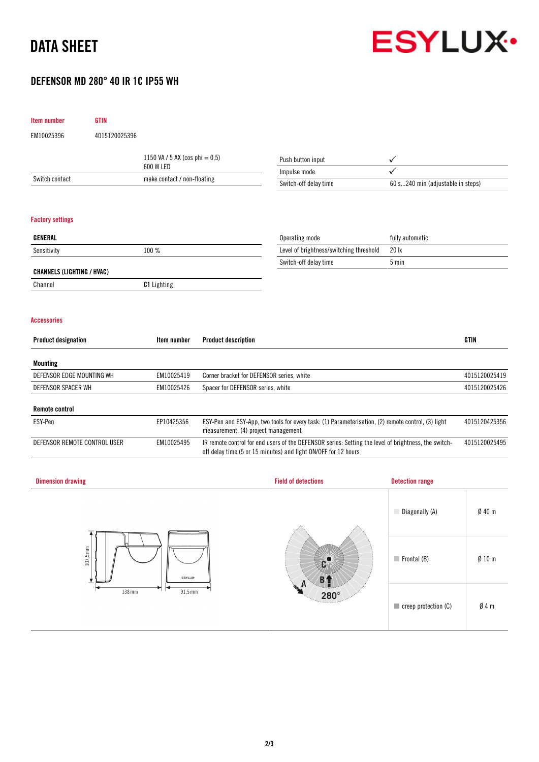# DATA SHEET



## DEFENSOR MD 280° 40 IR 1C IP55 WH

| Item number                                      | <b>GTIN</b>   |                                   |                                                                                                                                           |                                                                                                                                                                        |                                   |               |
|--------------------------------------------------|---------------|-----------------------------------|-------------------------------------------------------------------------------------------------------------------------------------------|------------------------------------------------------------------------------------------------------------------------------------------------------------------------|-----------------------------------|---------------|
| EM10025396                                       | 4015120025396 |                                   |                                                                                                                                           |                                                                                                                                                                        |                                   |               |
|                                                  |               | 1150 VA / 5 AX (cos phi = $0,5$ ) |                                                                                                                                           | Push button input                                                                                                                                                      | ✓                                 |               |
|                                                  |               | 600 W LED                         |                                                                                                                                           | Impulse mode                                                                                                                                                           |                                   |               |
| Switch contact                                   |               | make contact / non-floating       |                                                                                                                                           | Switch-off delay time                                                                                                                                                  | 60 s240 min (adjustable in steps) |               |
|                                                  |               |                                   |                                                                                                                                           |                                                                                                                                                                        |                                   |               |
| <b>Factory settings</b><br><b>GENERAL</b>        |               |                                   |                                                                                                                                           |                                                                                                                                                                        |                                   |               |
|                                                  |               |                                   |                                                                                                                                           | Operating mode                                                                                                                                                         | fully automatic                   |               |
| Sensitivity                                      |               | 100 %                             |                                                                                                                                           | Level of brightness/switching threshold                                                                                                                                | 20 lx<br>5 min                    |               |
| <b>CHANNELS (LIGHTING / HVAC)</b>                |               |                                   |                                                                                                                                           | Switch-off delay time                                                                                                                                                  |                                   |               |
| Channel                                          |               | C1 Lighting                       |                                                                                                                                           |                                                                                                                                                                        |                                   |               |
| <b>Accessories</b><br><b>Product designation</b> |               | Item number                       | <b>Product description</b>                                                                                                                |                                                                                                                                                                        |                                   | <b>GTIN</b>   |
| <b>Mounting</b>                                  |               |                                   |                                                                                                                                           |                                                                                                                                                                        |                                   |               |
| DEFENSOR EDGE MOUNTING WH                        |               | EM10025419                        |                                                                                                                                           | Corner bracket for DEFENSOR series, white                                                                                                                              |                                   | 4015120025419 |
| DEFENSOR SPACER WH                               |               | EM10025426                        | Spacer for DEFENSOR series, white                                                                                                         |                                                                                                                                                                        |                                   | 4015120025426 |
| <b>Remote control</b>                            |               |                                   |                                                                                                                                           |                                                                                                                                                                        |                                   |               |
| ESY-Pen                                          |               | EP10425356                        | ESY-Pen and ESY-App, two tools for every task: (1) Parameterisation, (2) remote control, (3) light<br>measurement, (4) project management |                                                                                                                                                                        | 4015120425356                     |               |
| DEFENSOR REMOTE CONTROL USER                     |               | EM10025495                        |                                                                                                                                           | IR remote control for end users of the DEFENSOR series: Setting the level of brightness, the switch-<br>off delay time (5 or 15 minutes) and light ON/OFF for 12 hours |                                   | 4015120025495 |
|                                                  |               |                                   |                                                                                                                                           |                                                                                                                                                                        |                                   |               |
| <b>Dimension drawing</b>                         |               |                                   |                                                                                                                                           | <b>Field of detections</b>                                                                                                                                             | <b>Detection range</b>            |               |

|                                      |                                                             | Diagonally (A)                      | $Ø$ 40 m         |
|--------------------------------------|-------------------------------------------------------------|-------------------------------------|------------------|
| $107,5 \text{ mm}$<br><b>ESYLUX-</b> |                                                             | $\blacksquare$ Frontal (B)          | $\emptyset$ 10 m |
| 138 mm<br>$91,5$ mm                  | H<br><b>HEAR</b><br>$280^\circ$<br><b><i>Thermannel</i></b> | $\blacksquare$ creep protection (C) | $\emptyset$ 4 m  |